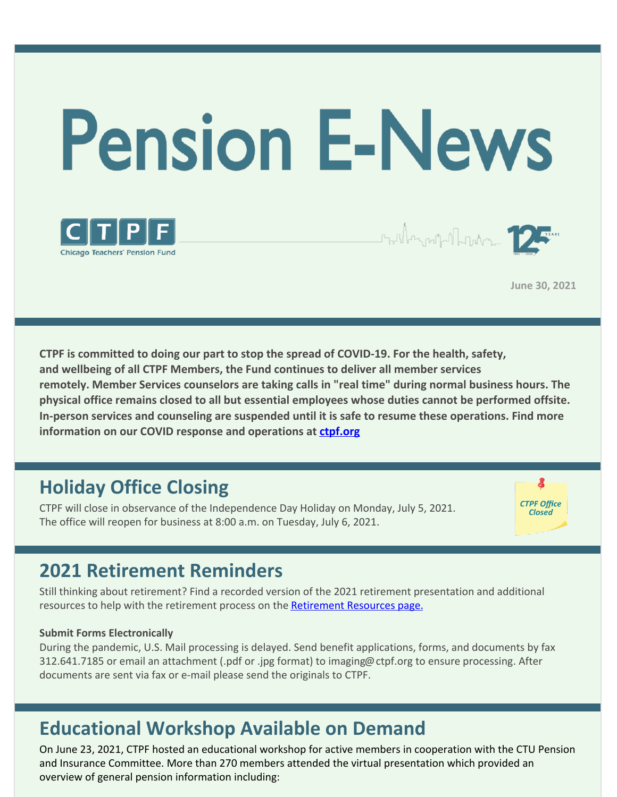

**June 30, 2021**

**CTPF is committed to doing our part to stop the spread of COVID-19. For the health, safety, and wellbeing of all CTPF Members, the Fund continues to deliver all member services remotely. Member Services counselors are taking calls in "real time" during normal business hours. The physical office remains closed to all but essential employees whose duties cannot be performed offsite. In-person services and counseling are suspended until it is safe to resume these operations. Find more information on our COVID response and operations at [ctpf.org](http://www.ctpf.org)**

# **Holiday Office Closing**

CTPF will close in observance of the Independence Day Holiday on Monday, July 5, 2021. The office will reopen for business at 8:00 a.m. on Tuesday, July 6, 2021.



## **2021 Retirement Reminders**

Still thinking about retirement? Find a recorded version of the 2021 retirement presentation and additional resources to help with the retirement process on the [Retirement](https://www.ctpf.org/member-resources/active-members/retirement-resources) Resources page.

#### **Submit Forms Electronically**

During the pandemic, U.S. Mail processing is delayed. Send benefit applications, forms, and documents by fax 312.641.7185 or email an attachment (.pdf or .jpg format) to imaging@ctpf.org to ensure processing. After documents are sent via fax or e-mail please send the originals to CTPF.

# **Educational Workshop Available on Demand**

On June 23, 2021, CTPF hosted an educational workshop for active members in cooperation with the CTU Pension and Insurance Committee. More than 270 members attended the virtual presentation which provided an overview of general pension information including: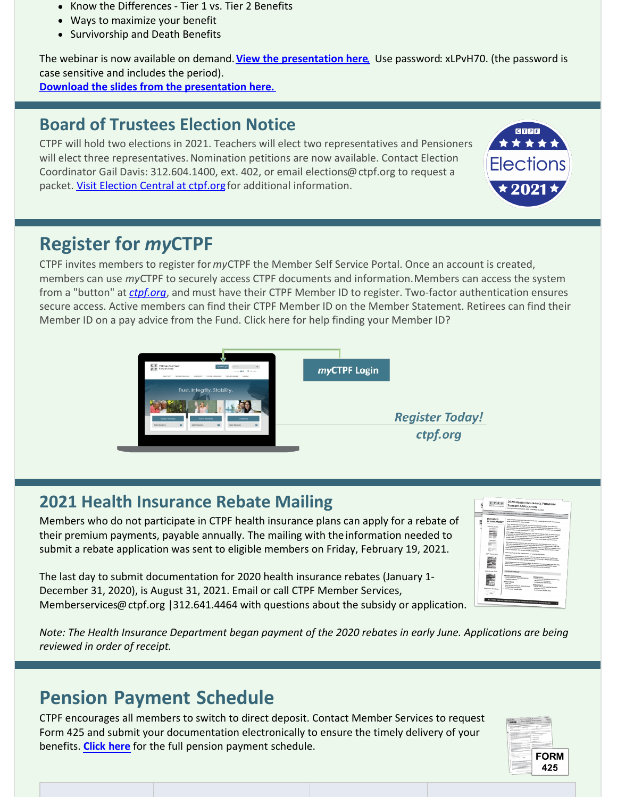- Know the Differences Tier 1 vs. Tier 2 Benefits
- Ways to maximize your benefit
- Survivorship and Death Benefits

The webinar is now available on demand. **[View the presentation here](https://ctpf.zoom.us/rec/share/xYOc_wJp7c_ghsKK_7rGi8601yhCEbwZc_jcKv1QR0dGzniePdxkfPobOQBAsbNS.xYuDN4UMn__qQSwN)**, Use password: xLPvH70. (the password is case sensitive and includes the period).

**[Download the slides from the presentation here.](https://www.ctpf.org/sites/files/2021-06/CPS Field Service Presentation_vk1_FINAL.pdf)** 

# **Board of Trustees Election Notice**

CTPF will hold two elections in 2021. Teachers will elect two representatives and Pensioners will elect three representatives. Nomination petitions are now available. Contact Election Coordinator Gail Davis: 312.604.1400, ext. 402, or email elections@ctpf.org to request a packet. [Visit Election Central at ctpf.org](https://www.ctpf.org/about-ctpf/election-central-2021) for additional information.



# **Register for** *my***CTPF**

CTPF invites members to register for *my*CTPF the Member Self Service Portal. Once an account is created, members can use *my*CTPF to securely access CTPF documents and information. Members can access the system from a "button" at *[ctpf.org](http://www.ctpf.org)*, and must have their CTPF Member ID to register. Two-factor authentication ensures secure access. Active members can find their CTPF Member ID on the Member Statement. Retirees can find their Member ID on a pay advice from the Fund. Click here for help finding your Member ID?



## **2021 Health Insurance Rebate Mailing**

Members who do not participate in CTPF health insurance plans can apply for a rebate of their premium payments, payable annually. The mailing with the information needed to submit a rebate application was sent to eligible members on Friday, February 19, 2021.



The last day to submit documentation for 2020 health insurance rebates (January 1- December 31, 2020), is August 31, 2021. Email or call CTPF Member Services, Memberservices@ctpf.org |312.641.4464 with questions about the subsidy or application.

*Note: The Health Insurance Department began payment of the 2020 rebates in early June. Applications are being reviewed in order of receipt.*

# **Pension Payment Schedule**

CTPF encourages all members to switch to direct deposit. Contact Member Services to request Form 425 and submit your documentation electronically to ensure the timely delivery of your benefits. **[Click here](https://www.ctpf.org/pension-payments)** for the full pension payment schedule.

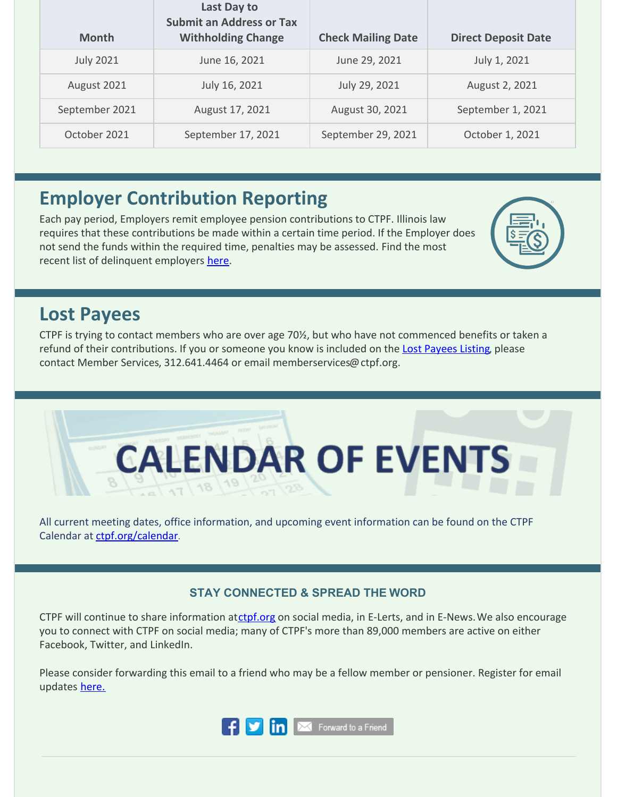| <b>Month</b>     | Last Day to<br><b>Submit an Address or Tax</b><br><b>Withholding Change</b> | <b>Check Mailing Date</b> | <b>Direct Deposit Date</b> |
|------------------|-----------------------------------------------------------------------------|---------------------------|----------------------------|
| <b>July 2021</b> | June 16, 2021                                                               | June 29, 2021             | July 1, 2021               |
| August 2021      | July 16, 2021                                                               | July 29, 2021             | August 2, 2021             |
| September 2021   | August 17, 2021                                                             | August 30, 2021           | September 1, 2021          |
| October 2021     | September 17, 2021                                                          | September 29, 2021        | October 1, 2021            |

# **Employer Contribution Reporting**

Each pay period, Employers remit employee pension contributions to CTPF. Illinois law requires that these contributions be made within a certain time period. If the Employer does not send the funds within the required time, penalties may be assessed. Find the most recent list of delinquent employers [here](http://ctpf.org/employer-contribution-reporting).



### **Lost Payees**

CTPF is trying to contact members who are over age 70½, but who have not commenced benefits or taken a refund of their contributions. If you or someone you know is included on the [Lost Payees Listing](https://www.ctpf.org/sites/files/2020-10/lost_payees_last_school_worked_website_list_2.pdf), please contact Member Services, 312.641.4464 or email memberservices@ctpf.org.



All current meeting dates, office information, and upcoming event information can be found on the CTPF Calendar at [ctpf.org/calendar](http://www.ctpf.org/calendar).

#### **STAY CONNECTED & SPREAD THE WORD**

CTPF will continue to share information at[ctpf.org](http://ctpf.org) on social media, in E-Lerts, and in E-News. We also encourage you to connect with CTPF on social media; many of CTPF's more than 89,000 members are active on either Facebook, Twitter, and LinkedIn.

Please consider forwarding this email to a friend who may be a fellow member or pensioner. Register for email updates [here.](https://www.ctpf.org/)